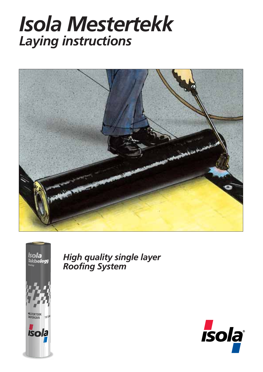## *Isola Mestertekk Laying instructions*





*High quality single layer Roofing System*

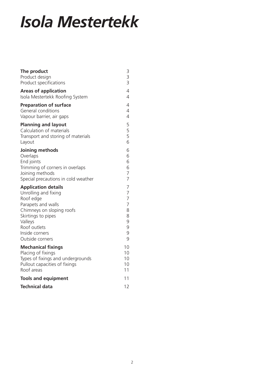# *Isola Mestertekk*

| The product<br>Product design<br>Product specifications | 3<br>3<br>$\overline{3}$ |
|---------------------------------------------------------|--------------------------|
| <b>Areas of application</b>                             | $\overline{4}$           |
| Isola Mestertekk Roofing System                         | $\overline{4}$           |
| <b>Preparation of surface</b>                           | 4                        |
| General conditions                                      | $\overline{4}$           |
| Vapour barrier, air gaps                                | $\overline{4}$           |
| <b>Planning and layout</b>                              | 5                        |
| Calculation of materials                                | 5                        |
| Transport and storing of materials                      | 5                        |
| Layout                                                  | 6                        |
| Joining methods                                         | 6                        |
| Overlaps                                                | 6                        |
| End joints                                              | 6                        |
| Trimming of corners in overlaps                         | 6                        |
| Joining methods                                         | 7                        |
| Special precautions in cold weather                     | $\overline{7}$           |
| <b>Application details</b>                              | 7                        |
| Unrolling and fixing                                    | $\overline{7}$           |
| Roof edge                                               | $\overline{7}$           |
| Parapets and walls                                      | $\overline{7}$           |
| Chimneys on sloping roofs                               | 8                        |
| Skirtings to pipes                                      | 8                        |
| Valleys                                                 | 9                        |
| Roof outlets                                            | 9                        |
| Inside corners                                          | 9                        |
| Outside corners                                         | 9                        |
| <b>Mechanical fixings</b>                               | 10                       |
| Placing of fixings                                      | 10                       |
| Types of fixings and undergrounds                       | 10                       |
| Pullout capacities of fixings                           | 10                       |
| Roof areas                                              | 11                       |
| <b>Tools and equipment</b>                              | 11                       |
| <b>Technical data</b>                                   | 12                       |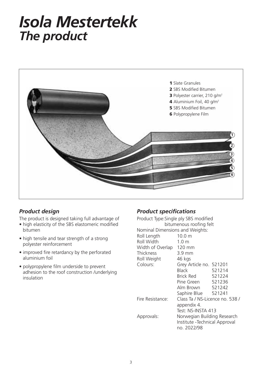## *Isola Mestertekk The product*



## *Product design*

The product is designed taking full advantage of

- high elasticity of the SBS elastomeric modified bitumen
- high tensile and tear strength of a strong polyester reinforcement
- improved fire retardancy by the perforated aluminium foil
- polypropylene film underside to prevent adhesion to the roof construction /underlying insulation

## *Product specifications*

| Product Type: Single ply SBS modified<br>bitumenous roofing felt |                                 |        |  |  |  |  |
|------------------------------------------------------------------|---------------------------------|--------|--|--|--|--|
| Nominal Dimensions and Weights:                                  |                                 |        |  |  |  |  |
| Roll Length                                                      | $10.0 \text{ m}$                |        |  |  |  |  |
| <b>Roll Width</b>                                                | $1.0 \text{ m}$                 |        |  |  |  |  |
| Width of Overlap 120 mm                                          |                                 |        |  |  |  |  |
| Thickness                                                        | 3.9 mm                          |        |  |  |  |  |
| Roll Weight                                                      | 46 kgs                          |        |  |  |  |  |
| Colours:                                                         | Grey Article no. 521201         |        |  |  |  |  |
|                                                                  | <b>Black</b>                    | 521214 |  |  |  |  |
|                                                                  | Brick Red 521224                |        |  |  |  |  |
|                                                                  | Pine Green 521236               |        |  |  |  |  |
|                                                                  | Alm Brown 521242                |        |  |  |  |  |
|                                                                  | Saphire Blue 521241             |        |  |  |  |  |
| Fire Resistance:                                                 | Class Ta / NS-Licence no. 538 / |        |  |  |  |  |
|                                                                  | appendix 4.                     |        |  |  |  |  |
|                                                                  | Test: NS-INSTA 413              |        |  |  |  |  |
| Approvals:                                                       | Norwegian Building Research     |        |  |  |  |  |
|                                                                  | Institute - Technical Approval  |        |  |  |  |  |
|                                                                  | no. 2022/98                     |        |  |  |  |  |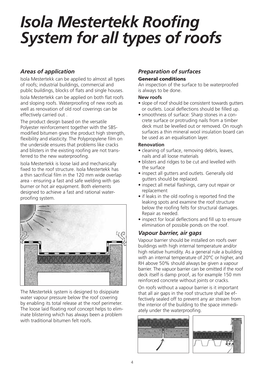## *Isola Mestertekk Roofing System for all types of roofs*

## *Areas of application*

Isola Mestertekk can be applied to almost all types of roofs; industrial buildings, commercial and public buildings, blocks of flats and single houses. Isola Mestertekk can be applied on both flat roofs and sloping roofs. Waterproofing of new roofs as well as renovation of old roof coverings can be effectively carried out .

The product design based on the versatile Polyester reinforcement together with the SBSmodified bitumen gives the product high strength, flexibility and elasticity. The Polypropylene film on the underside ensures that problems like cracks and blisters in the existing roofing are not transferred to the new waterproofing.

Isola Mestertekk is loose laid and mechanically fixed to the roof structure. Isola Mestertekk has a thin sacrificial film in the 120 mm wide overlap area - ensuring a fast and safe welding with gas burner or hot air equipment. Both elements designed to achieve a fast and rational waterproofing system.



The Mestertekk system is designed to disippiate water vapour pressure below the roof covering by enabling its total release at the roof perimeter. The loose laid floating roof concept helps to eliminate blistering which has always been a problem with traditional bitumen felt roofs.

### *Preparation of surfaces* **General conditions**

An inspection of the surface to be waterproofed is always to be done.

#### **New roofs**

- slope of roof should be consistent towards gutters or outlets. Local deflections should be filled up.
- smoothness of surface: Sharp stones in a concrete surface or protruding nails from a timber deck must be levelled out or removed. On rough surfaces a thin mineral wool insulation board can be used as an equalisation layer.

#### **Renovation**

- cleaning of surface, removing debris, leaves, nails and all loose materials
- blisters and ridges to be cut and levelled with the surface
- inspect all gutters and outlets. Generally old gutters should be replaced.
- inspect all metal flashings, carry out repair or replacement
- if leaks in the old roofing is reported find the leaking spots and examine the roof structure below the roofing felts for structural damages. Repair as needed.
- inspect for local deflections and fill up to ensure elimination of possible ponds on the roof.

### *Vapour barrier, air gaps*

Vapour barrier should be installed on roofs over buildings with high internal temperature and/or high relative humidity. As a general rule a building with an internal temperature of 20°C or higher, and RH above 50% should always be given a vapour barrier. The vapuor barrier can be omitted if the roof deck itself is damp proof, as for example 150 mm reinforced concrete without joints or cracks.

On roofs without a vapour barrier is it important that all air gaps in the roof structure shall be effectively sealed off to prevent any air stream from the interior of the building to the space immediately under the waterproofing.

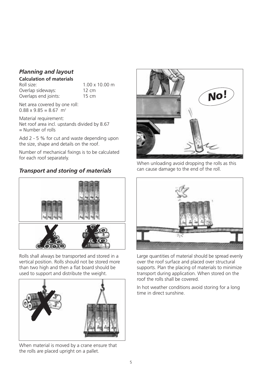## *Planning and layout*

#### **Calculation of materials**

Roll size: 1.00 x 10.00 m Overlap sideways: 12 cm Overlaps end joints: 15 cm

Net area covered by one roll:  $0.88 \times 9.85 = 8.67$  m<sup>2</sup>

Material requirement: Net roof area incl. upstands divided by 8.67  $=$  Number of rolls

Add 2 - 5 % for cut and waste depending upon the size, shape and details on the roof.

Number of mechanical fixings is to be calculated for each roof separately.

## **Transport and storing of materials** can cause damage to the end of the roll.



Rolls shall always be transported and stored in a vertical position. Rolls should not be stored more than two high and then a flat board should be used to support and distribute the weight.



When material is moved by a crane ensure that the rolls are placed upright on a pallet.



When unloading avoid dropping the rolls as this



Large quantities of material should be spread evenly over the roof surface and placed over structural supports. Plan the placing of materials to minimize transport during application. When stored on the roof the rolls shall be covered.

In hot weather conditions avoid storing for a long time in direct sunshine.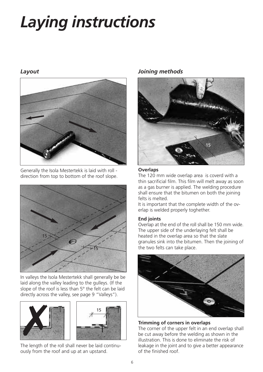# *Laying instructions*

## *Layout*



Generally the Isola Mestertekk is laid with roll direction from top to bottom of the roof slope.



In valleys the Isola Mestertekk shall generally be be laid along the valley leading to the gulleys. (If the slope of the roof is less than 5° the felt can be laid directly across the valley, see page 9 "Valleys").



The length of the roll shall never be laid continuously from the roof and up at an upstand.

## *Joining methods*



#### **Overlaps**

The 120 mm wide overlap area is coverd with a thin sacrificial film. This film will melt away as soon as a gas burner is applied. The welding procedure shall ensure that the bitumen on both the joining felts is melted.

It is important that the complete width of the overlap is welded properly toghether.

#### **End joints**

Overlap at the end of the roll shall be 150 mm wide. The upper side of the underlaying felt shall be heated in the overlap area so that the slate granules sink into the bitumen. Then the joining of the two felts can take place.



**Trimming of corners in overlaps**

The corner of the upper felt in an end overlap shall be cut away before the welding as shown in the illustration. This is done to eliminate the risk of leakage in the joint and to give a better appearance of the finished roof.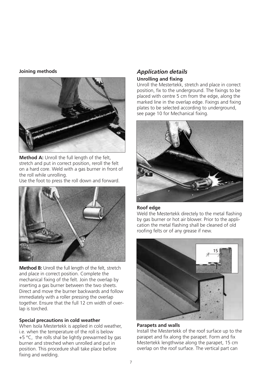#### **Joining methods**



**Method A:** Unroll the full length of the felt, stretch and put in correct position, reroll the felt on a hard core. Weld with a gas burner in front of the roll while unrolling.

Use the foot to press the roll down and forward.



**Method B:** Unroll the full length of the felt, stretch and place in correct position. Complete the mechanical fixing of the felt. Join the overlap by inserting a gas burner between the two sheets. Direct and move the burner backwards and follow immediately with a roller pressing the overlap together. Ensure that the full 12 cm width of overlap is torched.

#### **Special precautions in cold weather**

When Isola Mestertekk is applied in cold weather, i.e. when the temperature of the roll is below +5 °C, the rolls shal be lightly prewarmed by gas burner and streched when unrolled and put in position. This procedure shall take place before fixing and welding.

## *Application details*

#### **Unrolling and fixing**

Unroll the Mestertekk, stretch and place in correct position, fix to the underground. The fixings to be placed with centre 5 cm from the edge, along the marked line in the overlap edge. Fixings and fixing plates to be selected according to underground, see page 10 for Mechanical fixing.



#### **Roof edge**

Weld the Mestertekk directely to the metal flashing by gas burner or hot air blower. Prior to the application the metal flashing shall be cleaned of old roofing felts or of any grease if new.



#### **Parapets and walls**

Install the Mestertekk of the roof surface up to the parapet and fix along the parapet. Form and fix Mestertekk lengthwise along the parapet, 15 cm overlap on the roof surface. The vertical part can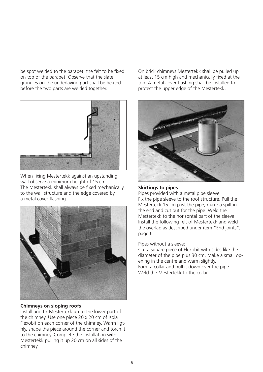be spot welded to the parapet, the felt to be fixed on top of the parapet. Observe that the slate granules on the underlaying part shall be heated before the two parts are welded together.



When fixing Mestertekk against an upstanding wall observe a minimum height of 15 cm. The Mestertekk shall always be fixed mechanically to the wall structure and the edge covered by a metal cover flashing.



#### **Chimneys on sloping roofs**

Install and fix Mestertekk up to the lower part of the chimney. Use one piece 20 x 20 cm of Isola Flexobit on each corner of the chimney. Warm ligthly, shape the piece around the corner and torch it to the chimney. Complete the installation with Mestertekk pulling it up 20 cm on all sides of the chimney.

On brick chimneys Mestertekk shall be pulled up at least 15 cm high and mechanically fixed at the top. A metal cover flashing shall be installed to protect the upper edge of the Mestertekk.



#### **Skirtings to pipes**

Pipes provided with a metal pipe sleeve: Fix the pipe sleeve to the roof structure. Pull the Mestertekk 15 cm past the pipe, make a spilt in the end and cut out for the pipe. Weld the Mestertekk to the horisontal part of the sleeve. Install the following felt of Mestertekk and weld the overlap as described under item "End joints", page 6.

#### Pipes without a sleeve:

Cut a square piece of Flexobit with sides like the diameter of the pipe plus 30 cm. Make a small opening in the centre and warm slightly. Form a collar and pull it down over the pipe. Weld the Mestertekk to the collar.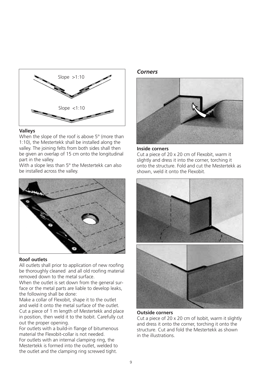

#### **Valleys**

When the slope of the roof is above 5° (more than 1:10), the Mestertekk shall be installed along the valley. The joining felts from both sides shall then be given an overlap of 15 cm onto the longitudinal part in the valley.

With a slope less than 5° the Mestertekk can also be installed across the valley.



#### **Roof outlets**

All outlets shall prior to application of new roofing be thoroughly cleaned and all old roofing material removed down to the metal surface.

When the outlet is set down from the general surface or the metal parts are liable to develop leaks, the following shall be done:

Make a collar of Flexobit, shape it to the outlet and weld it onto the metal surface of the outlet. Cut a piece of 1 m length of Mestertekk and place in position, then weld it to the Isobit. Carefully cut out the proper opening.

For outlets with a build-in flange of bitumenous material the Flexobit-collar is not needed. For outlets with an internal clamping ring, the Mestertekk is formed into the outlet, welded to the outlet and the clamping ring screwed tight.

*Corners*



#### **Inside corners**

Cut a piece of 20 x 20 cm of Flexobit, warm it slightly and dress it into the corner, torching it onto the structure. Fold and cut the Mestertekk as shown, weld it onto the Flexobit.



## **Outside corners**

Cut a piece of 20 x 20 cm of Isobit, warm it slightly and dress it onto the corner, torching it onto the structure. Cut and fold the Mestertekk as shown in the illustrations.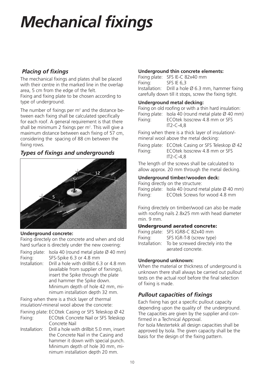# *Mechanical fixings*

## *Placing of fixings*

The mechanical fixings and plates shall be placed with their centre in the marked line in the overlap area, 5 cm from the edge of the felt. Fixing and fixing plate to be chosen according to type of underground.

The number of fixings per  $m<sup>2</sup>$  and the distance between each fixing shall be calculated specifically for each roof. A general requirement is that there shall be minimum 2 fixings per m<sup>2</sup>. This will give a maximum distance between each fixing of 57 cm, considering the spacing of 88 cm between the fixing rows.

## *Types of fixings and undergrounds*



#### **Underground concrete:**

Fixing directely on the concrete and when and old hard surface is directely under the new covering:

|               | Fixing plate: Isola 40 (round metal plate $\varnothing$ 40 mm) |
|---------------|----------------------------------------------------------------|
| Fixing:       | SFS-Spike 6.3 or 4.8 mm                                        |
| Installation: | Drill a hole with drillbit 6.3 or 4.8 mm                       |

(available from supplier of fixnings), insert the Spike through the plate and hammer the Spike down. Minimum depth of hole 42 mm, minimum installation depth 32 mm.

Fixing when there is a thick layer of thermal insulation/-mineral wool above the concrete:

- Fixning plate: ECOtek Casing or SFS Teleskop Ø 42
- Fixing: ECOtek Concrete Nail or SFS Teleskop Concrete Nail
- Installation: Drill a hole with drillbit 5.0 mm, insert the Concrete Nail in the Casing and hammer it down with special punch. Minimum depth of hole 30 mm, minimum installation depth 20 mm.

#### **Underground thin concrete elements:**

Fixing plate: SFS IE-C 82x40 mm Fixing: SFS IE 6,3 Installation: Drill a hole  $\varnothing$  6.3 mm, hammer fixing carefully down till it stops, screw the fixing tight.

#### **Underground metal decking:**

Fixing on old roofing or with a thin hard insulation: Fixing plate: Isola 40 (round metal plate  $\varnothing$  40 mm) Fixing: ECOtek Isoscrew 4.8 mm or SFS IT2-C-4,8

Fixing when there is a thick layer of insulation/ mineral wool above the metal decking:

Fixing plate: ECOtek Casing or SFS Teleskop Ø 42 Fixing: ECOtek Isoscrew 4.8 mm or SFS IT2-C-4,8

The length of the screws shall be calculated to allow approx. 20 mm through the metal decking.

### **Underground timber/wooden deck:**

Fixing directly on the structure: Fixing plate: Isola 40 (round metal plate  $\varnothing$  40 mm) Fixing: ECOtek Screws for wood 4.8 mm

Fixing directely on timber/wood can also be made with roofing nails 2.8x25 mm with head diameter min. 9 mm.

#### **Underground aerated concrete:**

Fixing plate: SFS IGR8-C 82x40 mm Fixing: SFS IGR-T-8 (screw type) Installation: To be screwed directely into the aerated concrete.

#### **Underground unknown:**

When the material or thickness of underground is unknown there shall always be carried out pullout tests on the actual roof before the final selection of fixing is made.

## *Pullout capacities of fixings*

Each fixing has got a specific pullout capacity depending upon the quality of the underground. The capacities are given by the supplier and confirmed in a Technical Approval.

For Isola Mestertekk all design capacities shall be approved by Isola. The given capacity shall be the basis for the design of the fixing pattern.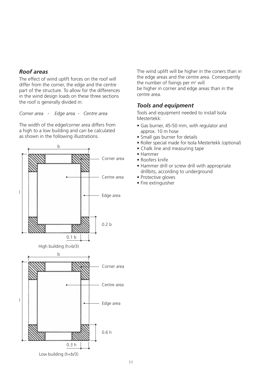#### *Roof areas*

The effect of wind uplift forces on the roof will differ from the corner, the edge and the centre part of the structure. To allow for the differences in the wind design loads on these three sections the roof is generally divided in:

*Corner area - Edge area - Centre area*

The width of the edge/corner area differs from a high to a low building and can be calculated as shown in the following illustrations.



The wind uplift will be higher in the coners than in the edge areas and the centre area. Consequently the number of fixings per  $m<sup>2</sup>$  will be higher in corner and edge areas than in the centre area.

## *Tools and equipment*

Tools and equipment needed to install Isola Mestertekk:

- Gas burner, 45-50 mm, with regulator and approx. 10 m hose
- Small gas burner for details
- Roller special made for Isola Mestertekk (optional)
- Chalk line and measuring tape
- Hammer
- Roofers knife
- Hammer drill or screw drill with appropriate drillbits, according to underground
- Protective gloves
- Fire extinguisher